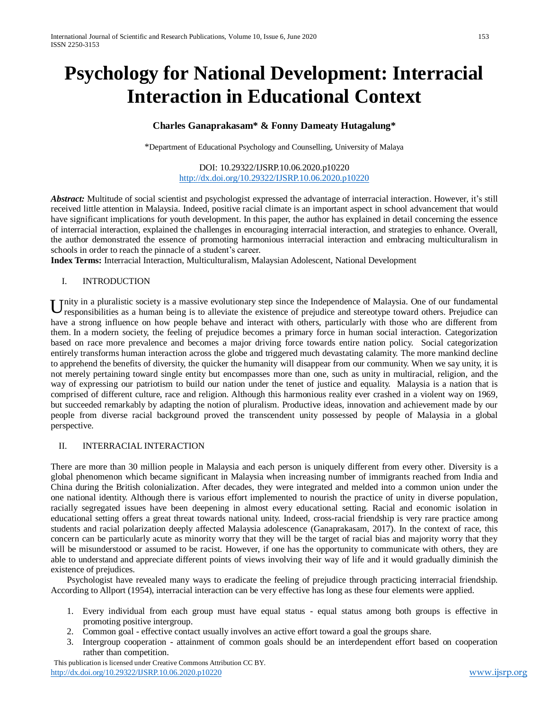# **Psychology for National Development: Interracial Interaction in Educational Context**

## **Charles Ganaprakasam\* & Fonny Dameaty Hutagalung\***

\*Department of Educational Psychology and Counselling, University of Malaya

#### DOI: 10.29322/IJSRP.10.06.2020.p10220 <http://dx.doi.org/10.29322/IJSRP.10.06.2020.p10220>

*Abstract:* Multitude of social scientist and psychologist expressed the advantage of interracial interaction. However, it's still received little attention in Malaysia. Indeed, positive racial climate is an important aspect in school advancement that would have significant implications for youth development. In this paper, the author has explained in detail concerning the essence of interracial interaction, explained the challenges in encouraging interracial interaction, and strategies to enhance. Overall, the author demonstrated the essence of promoting harmonious interracial interaction and embracing multiculturalism in schools in order to reach the pinnacle of a student's career.

**Index Terms:** Interracial Interaction, Multiculturalism, Malaysian Adolescent, National Development

#### I. INTRODUCTION

Unity in a pluralistic society is a massive evolutionary step since the Independence of Malaysia. One of our fundamental responsibilities as a human being is to alleviate the existence of prejudice and stereotype toward ot responsibilities as a human being is to alleviate the existence of prejudice and stereotype toward others. Prejudice can have a strong influence on how people behave and interact with others, particularly with those who are different from them. In a modern society, the feeling of prejudice becomes a primary force in human social interaction. Categorization based on race more prevalence and becomes a major driving force towards entire nation policy. Social categorization entirely transforms human interaction across the globe and triggered much devastating calamity. The more mankind decline to apprehend the benefits of diversity, the quicker the humanity will disappear from our community. When we say unity, it is not merely pertaining toward single entity but encompasses more than one, such as unity in multiracial, religion, and the way of expressing our patriotism to build our nation under the tenet of justice and equality. Malaysia is a nation that is comprised of different culture, race and religion. Although this harmonious reality ever crashed in a violent way on 1969, but succeeded remarkably by adapting the notion of pluralism. Productive ideas, innovation and achievement made by our people from diverse racial background proved the transcendent unity possessed by people of Malaysia in a global perspective.

#### II. INTERRACIAL INTERACTION

There are more than 30 million people in Malaysia and each person is uniquely different from every other. Diversity is a global phenomenon which became significant in Malaysia when increasing number of immigrants reached from India and China during the British colonialization. After decades, they were integrated and melded into a common union under the one national identity. Although there is various effort implemented to nourish the practice of unity in diverse population, racially segregated issues have been deepening in almost every educational setting. Racial and economic isolation in educational setting offers a great threat towards national unity. Indeed, cross-racial friendship is very rare practice among students and racial polarization deeply affected Malaysia adolescence (Ganaprakasam, 2017). In the context of race, this concern can be particularly acute as minority worry that they will be the target of racial bias and majority worry that they will be misunderstood or assumed to be racist. However, if one has the opportunity to communicate with others, they are able to understand and appreciate different points of views involving their way of life and it would gradually diminish the existence of prejudices.

Psychologist have revealed many ways to eradicate the feeling of prejudice through practicing interracial friendship. According to Allport (1954), interracial interaction can be very effective has long as these four elements were applied.

- 1. Every individual from each group must have equal status equal status among both groups is effective in promoting positive intergroup.
- 2. Common goal effective contact usually involves an active effort toward a goal the groups share.
- 3. Intergroup cooperation attainment of common goals should be an interdependent effort based on cooperation rather than competition.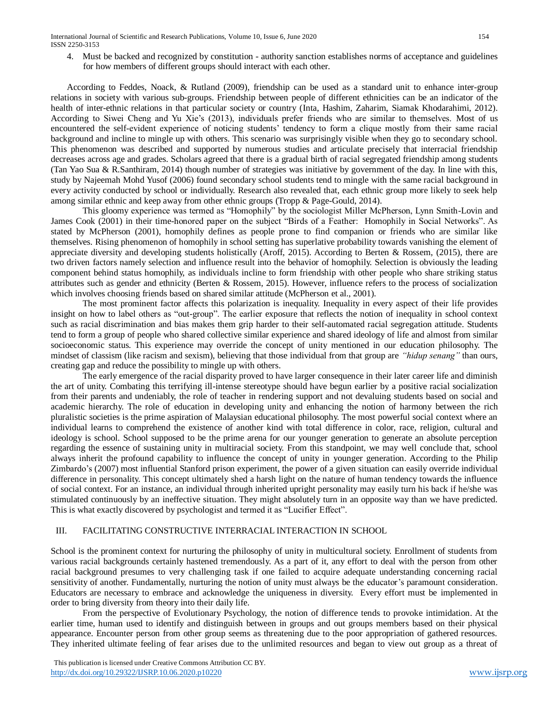International Journal of Scientific and Research Publications, Volume 10, Issue 6, June 2020 154 ISSN 2250-3153

4. Must be backed and recognized by constitution - authority sanction establishes norms of acceptance and guidelines for how members of different groups should interact with each other.

According to Feddes, Noack, & Rutland (2009), friendship can be used as a standard unit to enhance inter-group relations in society with various sub-groups. Friendship between people of different ethnicities can be an indicator of the health of inter-ethnic relations in that particular society or country (Inta, Hashim, Zaharim, Siamak Khodarahimi, 2012). According to Siwei Cheng and Yu Xie's (2013), individuals prefer friends who are similar to themselves. Most of us encountered the self-evident experience of noticing students' tendency to form a clique mostly from their same racial background and incline to mingle up with others. This scenario was surprisingly visible when they go to secondary school. This phenomenon was described and supported by numerous studies and articulate precisely that interracial friendship decreases across age and grades. Scholars agreed that there is a gradual birth of racial segregated friendship among students (Tan Yao Sua & R.Santhiram, 2014) though number of strategies was initiative by government of the day. In line with this, study by Najeemah Mohd Yusof (2006) found secondary school students tend to mingle with the same racial background in every activity conducted by school or individually. Research also revealed that, each ethnic group more likely to seek help among similar ethnic and keep away from other ethnic groups (Tropp & Page-Gould, 2014).

This gloomy experience was termed as "Homophily" by the sociologist Miller McPherson, Lynn Smith-Lovin and James Cook (2001) in their time-honored paper on the subject "Birds of a Feather: Homophily in Social Networks". As stated by McPherson (2001), homophily defines as people prone to find companion or friends who are similar like themselves. Rising phenomenon of homophily in school setting has superlative probability towards vanishing the element of appreciate diversity and developing students holistically (Aroff, 2015). According to Berten & Rossem, (2015), there are two driven factors namely selection and influence result into the behavior of homophily. Selection is obviously the leading component behind status homophily, as individuals incline to form friendship with other people who share striking status attributes such as gender and ethnicity (Berten & Rossem, 2015). However, influence refers to the process of socialization which involves choosing friends based on shared similar attitude (McPherson et al., 2001).

The most prominent factor affects this polarization is inequality. Inequality in every aspect of their life provides insight on how to label others as "out-group". The earlier exposure that reflects the notion of inequality in school context such as racial discrimination and bias makes them grip harder to their self-automated racial segregation attitude. Students tend to form a group of people who shared collective similar experience and shared ideology of life and almost from similar socioeconomic status. This experience may override the concept of unity mentioned in our education philosophy. The mindset of classism (like racism and sexism), believing that those individual from that group are *"hidup senang"* than ours, creating gap and reduce the possibility to mingle up with others.

The early emergence of the racial disparity proved to have larger consequence in their later career life and diminish the art of unity. Combating this terrifying ill-intense stereotype should have begun earlier by a positive racial socialization from their parents and undeniably, the role of teacher in rendering support and not devaluing students based on social and academic hierarchy. The role of education in developing unity and enhancing the notion of harmony between the rich pluralistic societies is the prime aspiration of Malaysian educational philosophy. The most powerful social context where an individual learns to comprehend the existence of another kind with total difference in color, race, religion, cultural and ideology is school. School supposed to be the prime arena for our younger generation to generate an absolute perception regarding the essence of sustaining unity in multiracial society. From this standpoint, we may well conclude that, school always inherit the profound capability to influence the concept of unity in younger generation. According to the Philip Zimbardo's (2007) most influential Stanford prison experiment, the power of a given situation can easily override individual difference in personality. This concept ultimately shed a harsh light on the nature of human tendency towards the influence of social context. For an instance, an individual through inherited upright personality may easily turn his back if he/she was stimulated continuously by an ineffective situation. They might absolutely turn in an opposite way than we have predicted. This is what exactly discovered by psychologist and termed it as "Lucifier Effect".

#### III. FACILITATING CONSTRUCTIVE INTERRACIAL INTERACTION IN SCHOOL

School is the prominent context for nurturing the philosophy of unity in multicultural society. Enrollment of students from various racial backgrounds certainly hastened tremendously. As a part of it, any effort to deal with the person from other racial background presumes to very challenging task if one failed to acquire adequate understanding concerning racial sensitivity of another. Fundamentally, nurturing the notion of unity must always be the educator's paramount consideration. Educators are necessary to embrace and acknowledge the uniqueness in diversity. Every effort must be implemented in order to bring diversity from theory into their daily life.

From the perspective of Evolutionary Psychology, the notion of difference tends to provoke intimidation. At the earlier time, human used to identify and distinguish between in groups and out groups members based on their physical appearance. Encounter person from other group seems as threatening due to the poor appropriation of gathered resources. They inherited ultimate feeling of fear arises due to the unlimited resources and began to view out group as a threat of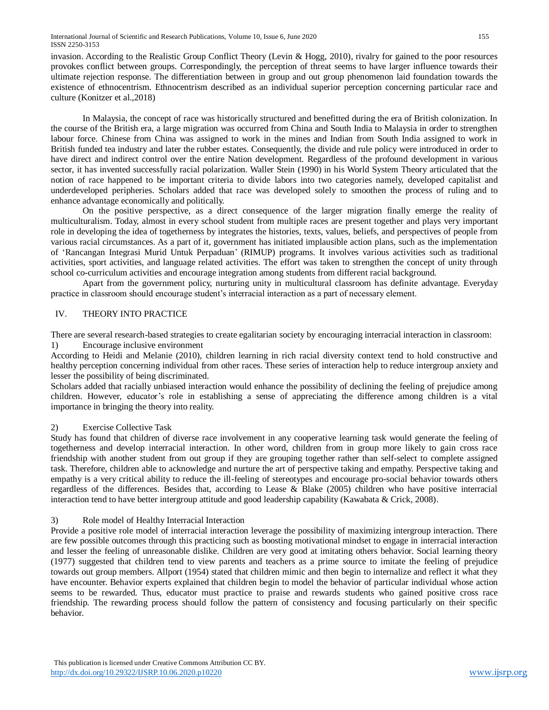invasion. According to the Realistic Group Conflict Theory (Levin & Hogg, 2010), rivalry for gained to the poor resources provokes conflict between groups. Correspondingly, the perception of threat seems to have larger influence towards their ultimate rejection response. The differentiation between in group and out group phenomenon laid foundation towards the existence of ethnocentrism. Ethnocentrism described as an individual superior perception concerning particular race and culture (Konitzer et al.,2018)

In Malaysia, the concept of race was historically structured and benefitted during the era of British colonization. In the course of the British era, a large migration was occurred from China and South India to Malaysia in order to strengthen labour force. Chinese from China was assigned to work in the mines and Indian from South India assigned to work in British funded tea industry and later the rubber estates. Consequently, the divide and rule policy were introduced in order to have direct and indirect control over the entire Nation development. Regardless of the profound development in various sector, it has invented successfully racial polarization. Waller Stein (1990) in his World System Theory articulated that the notion of race happened to be important criteria to divide labors into two categories namely, developed capitalist and underdeveloped peripheries. Scholars added that race was developed solely to smoothen the process of ruling and to enhance advantage economically and politically.

On the positive perspective, as a direct consequence of the larger migration finally emerge the reality of multiculturalism. Today, almost in every school student from multiple races are present together and plays very important role in developing the idea of togetherness by integrates the histories, texts, values, beliefs, and perspectives of people from various racial circumstances. As a part of it, government has initiated implausible action plans, such as the implementation of 'Rancangan Integrasi Murid Untuk Perpaduan' (RIMUP) programs. It involves various activities such as traditional activities, sport activities, and language related activities. The effort was taken to strengthen the concept of unity through school co-curriculum activities and encourage integration among students from different racial background.

Apart from the government policy, nurturing unity in multicultural classroom has definite advantage. Everyday practice in classroom should encourage student's interracial interaction as a part of necessary element.

## IV. THEORY INTO PRACTICE

There are several research-based strategies to create egalitarian society by encouraging interracial interaction in classroom:

#### 1) Encourage inclusive environment

According to Heidi and Melanie (2010), children learning in rich racial diversity context tend to hold constructive and healthy perception concerning individual from other races. These series of interaction help to reduce intergroup anxiety and lesser the possibility of being discriminated.

Scholars added that racially unbiased interaction would enhance the possibility of declining the feeling of prejudice among children. However, educator's role in establishing a sense of appreciating the difference among children is a vital importance in bringing the theory into reality.

## 2) Exercise Collective Task

Study has found that children of diverse race involvement in any cooperative learning task would generate the feeling of togetherness and develop interracial interaction. In other word, children from in group more likely to gain cross race friendship with another student from out group if they are grouping together rather than self-select to complete assigned task. Therefore, children able to acknowledge and nurture the art of perspective taking and empathy. Perspective taking and empathy is a very critical ability to reduce the ill-feeling of stereotypes and encourage pro-social behavior towards others regardless of the differences. Besides that, according to Lease & Blake (2005) children who have positive interracial interaction tend to have better intergroup attitude and good leadership capability (Kawabata & Crick, 2008).

## 3) Role model of Healthy Interracial Interaction

Provide a positive role model of interracial interaction leverage the possibility of maximizing intergroup interaction. There are few possible outcomes through this practicing such as boosting motivational mindset to engage in interracial interaction and lesser the feeling of unreasonable dislike. Children are very good at imitating others behavior. Social learning theory (1977) suggested that children tend to view parents and teachers as a prime source to imitate the feeling of prejudice towards out group members. Allport (1954) stated that children mimic and then begin to internalize and reflect it what they have encounter. Behavior experts explained that children begin to model the behavior of particular individual whose action seems to be rewarded. Thus, educator must practice to praise and rewards students who gained positive cross race friendship. The rewarding process should follow the pattern of consistency and focusing particularly on their specific behavior.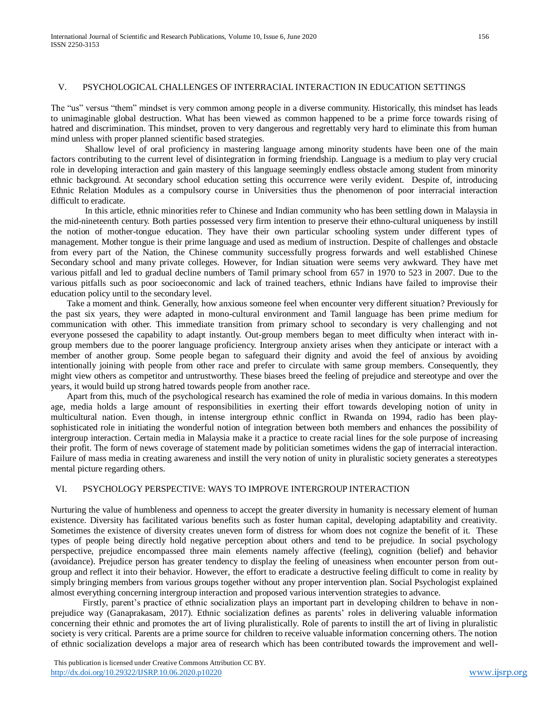#### V. PSYCHOLOGICAL CHALLENGES OF INTERRACIAL INTERACTION IN EDUCATION SETTINGS

The "us" versus "them" mindset is very common among people in a diverse community. Historically, this mindset has leads to unimaginable global destruction. What has been viewed as common happened to be a prime force towards rising of hatred and discrimination. This mindset, proven to very dangerous and regrettably very hard to eliminate this from human mind unless with proper planned scientific based strategies.

Shallow level of oral proficiency in mastering language among minority students have been one of the main factors contributing to the current level of disintegration in forming friendship. Language is a medium to play very crucial role in developing interaction and gain mastery of this language seemingly endless obstacle among student from minority ethnic background. At secondary school education setting this occurrence were verily evident. Despite of, introducing Ethnic Relation Modules as a compulsory course in Universities thus the phenomenon of poor interracial interaction difficult to eradicate.

In this article, ethnic minorities refer to Chinese and Indian community who has been settling down in Malaysia in the mid-nineteenth century. Both parties possessed very firm intention to preserve their ethno-cultural uniqueness by instill the notion of mother-tongue education. They have their own particular schooling system under different types of management. Mother tongue is their prime language and used as medium of instruction. Despite of challenges and obstacle from every part of the Nation, the Chinese community successfully progress forwards and well established Chinese Secondary school and many private colleges. However, for Indian situation were seems very awkward. They have met various pitfall and led to gradual decline numbers of Tamil primary school from 657 in 1970 to 523 in 2007. Due to the various pitfalls such as poor socioeconomic and lack of trained teachers, ethnic Indians have failed to improvise their education policy until to the secondary level.

Take a moment and think. Generally, how anxious someone feel when encounter very different situation? Previously for the past six years, they were adapted in mono-cultural environment and Tamil language has been prime medium for communication with other. This immediate transition from primary school to secondary is very challenging and not everyone possesed the capability to adapt instantly. Out-group members began to meet difficulty when interact with ingroup members due to the poorer language proficiency. Intergroup anxiety arises when they anticipate or interact with a member of another group. Some people began to safeguard their dignity and avoid the feel of anxious by avoiding intentionally joining with people from other race and prefer to circulate with same group members. Consequently, they might view others as competitor and untrustworthy. These biases breed the feeling of prejudice and stereotype and over the years, it would build up strong hatred towards people from another race.

Apart from this, much of the psychological research has examined the role of media in various domains. In this modern age, media holds a large amount of responsibilities in exerting their effort towards developing notion of unity in multicultural nation. Even though, in intense intergroup ethnic conflict in Rwanda on 1994, radio has been playsophisticated role in initiating the wonderful notion of integration between both members and enhances the possibility of intergroup interaction. Certain media in Malaysia make it a practice to create racial lines for the sole purpose of increasing their profit. The form of news coverage of statement made by politician sometimes widens the gap of interracial interaction. Failure of mass media in creating awareness and instill the very notion of unity in pluralistic society generates a stereotypes mental picture regarding others.

#### VI. PSYCHOLOGY PERSPECTIVE: WAYS TO IMPROVE INTERGROUP INTERACTION

Nurturing the value of humbleness and openness to accept the greater diversity in humanity is necessary element of human existence. Diversity has facilitated various benefits such as foster human capital, developing adaptability and creativity. Sometimes the existence of diversity creates uneven form of distress for whom does not cognize the benefit of it. These types of people being directly hold negative perception about others and tend to be prejudice. In social psychology perspective, prejudice encompassed three main elements namely affective (feeling), cognition (belief) and behavior (avoidance). Prejudice person has greater tendency to display the feeling of uneasiness when encounter person from outgroup and reflect it into their behavior. However, the effort to eradicate a destructive feeling difficult to come in reality by simply bringing members from various groups together without any proper intervention plan. Social Psychologist explained almost everything concerning intergroup interaction and proposed various intervention strategies to advance.

Firstly, parent's practice of ethnic socialization plays an important part in developing children to behave in nonprejudice way (Ganaprakasam, 2017). Ethnic socialization defines as parents' roles in delivering valuable information concerning their ethnic and promotes the art of living pluralistically. Role of parents to instill the art of living in pluralistic society is very critical. Parents are a prime source for children to receive valuable information concerning others. The notion of ethnic socialization develops a major area of research which has been contributed towards the improvement and well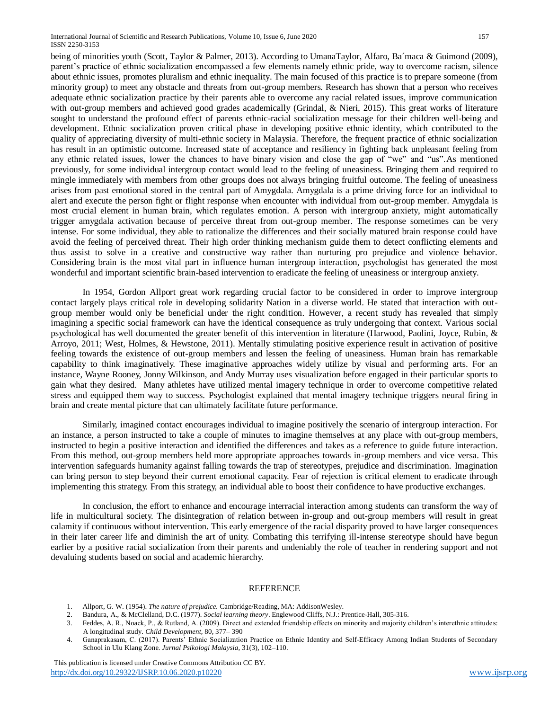International Journal of Scientific and Research Publications, Volume 10, Issue 6, June 2020 157 ISSN 2250-3153

being of minorities youth (Scott, Taylor & Palmer, 2013). According to UmanaTaylor, Alfaro, Ba´maca & Guimond (2009), parent's practice of ethnic socialization encompassed a few elements namely ethnic pride, way to overcome racism, silence about ethnic issues, promotes pluralism and ethnic inequality. The main focused of this practice is to prepare someone (from minority group) to meet any obstacle and threats from out-group members. Research has shown that a person who receives adequate ethnic socialization practice by their parents able to overcome any racial related issues, improve communication with out-group members and achieved good grades academically (Grindal, & Nieri, 2015). This great works of literature sought to understand the profound effect of parents ethnic-racial socialization message for their children well-being and development. Ethnic socialization proven critical phase in developing positive ethnic identity, which contributed to the quality of appreciating diversity of multi-ethnic society in Malaysia. Therefore, the frequent practice of ethnic socialization has result in an optimistic outcome. Increased state of acceptance and resiliency in fighting back unpleasant feeling from any ethnic related issues, lower the chances to have binary vision and close the gap of "we" and "us".As mentioned previously, for some individual intergroup contact would lead to the feeling of uneasiness. Bringing them and required to mingle immediately with members from other groups does not always bringing fruitful outcome. The feeling of uneasiness arises from past emotional stored in the central part of Amygdala. Amygdala is a prime driving force for an individual to alert and execute the person fight or flight response when encounter with individual from out-group member. Amygdala is most crucial element in human brain, which regulates emotion. A person with intergroup anxiety, might automatically trigger amygdala activation because of perceive threat from out-group member. The response sometimes can be very intense. For some individual, they able to rationalize the differences and their socially matured brain response could have avoid the feeling of perceived threat. Their high order thinking mechanism guide them to detect conflicting elements and thus assist to solve in a creative and constructive way rather than nurturing pro prejudice and violence behavior. Considering brain is the most vital part in influence human intergroup interaction, psychologist has generated the most wonderful and important scientific brain-based intervention to eradicate the feeling of uneasiness or intergroup anxiety.

In 1954, Gordon Allport great work regarding crucial factor to be considered in order to improve intergroup contact largely plays critical role in developing solidarity Nation in a diverse world. He stated that interaction with outgroup member would only be beneficial under the right condition. However, a recent study has revealed that simply imagining a specific social framework can have the identical consequence as truly undergoing that context. Various social psychological has well documented the greater benefit of this intervention in literature (Harwood, Paolini, Joyce, Rubin, & Arroyo, 2011; West, Holmes, & Hewstone, 2011). Mentally stimulating positive experience result in activation of positive feeling towards the existence of out-group members and lessen the feeling of uneasiness. Human brain has remarkable capability to think imaginatively. These imaginative approaches widely utilize by visual and performing arts. For an instance, Wayne Rooney, Jonny Wilkinson, and Andy Murray uses visualization before engaged in their particular sports to gain what they desired. Many athletes have utilized mental imagery technique in order to overcome competitive related stress and equipped them way to success. Psychologist explained that mental imagery technique triggers neural firing in brain and create mental picture that can ultimately facilitate future performance.

Similarly, imagined contact encourages individual to imagine positively the scenario of intergroup interaction. For an instance, a person instructed to take a couple of minutes to imagine themselves at any place with out-group members, instructed to begin a positive interaction and identified the differences and takes as a reference to guide future interaction. From this method, out-group members held more appropriate approaches towards in-group members and vice versa. This intervention safeguards humanity against falling towards the trap of stereotypes, prejudice and discrimination. Imagination can bring person to step beyond their current emotional capacity. Fear of rejection is critical element to eradicate through implementing this strategy. From this strategy, an individual able to boost their confidence to have productive exchanges.

In conclusion, the effort to enhance and encourage interracial interaction among students can transform the way of life in multicultural society. The disintegration of relation between in-group and out-group members will result in great calamity if continuous without intervention. This early emergence of the racial disparity proved to have larger consequences in their later career life and diminish the art of unity. Combating this terrifying ill-intense stereotype should have begun earlier by a positive racial socialization from their parents and undeniably the role of teacher in rendering support and not devaluing students based on social and academic hierarchy.

#### REFERENCE

- 1. Allport, G. W. (1954). *The nature of prejudice.* Cambridge/Reading, MA: AddisonWesley.
- 2. Bandura, A., & McClelland, D.C. (1977). *Social learning theory*. Englewood Cliffs, N.J.: Prentice-Hall, 305-316.
- 3. Feddes, A. R., Noack, P., & Rutland, A. (2009). Direct and extended friendship effects on minority and majority children's interethnic attitudes: A longitudinal study. *Child Development,* 80, 377– 390
- 4. Ganaprakasam, C. (2017). Parents' Ethnic Socialization Practice on Ethnic Identity and Self-Efficacy Among Indian Students of Secondary School in Ulu Klang Zone*. Jurnal Psikologi Malaysia,* 31(3), 102–110.

 This publication is licensed under Creative Commons Attribution CC BY. <http://dx.doi.org/10.29322/IJSRP.10.06.2020.p10220> [www.ijsrp.org](http://ijsrp.org/) www.ijsrp.org